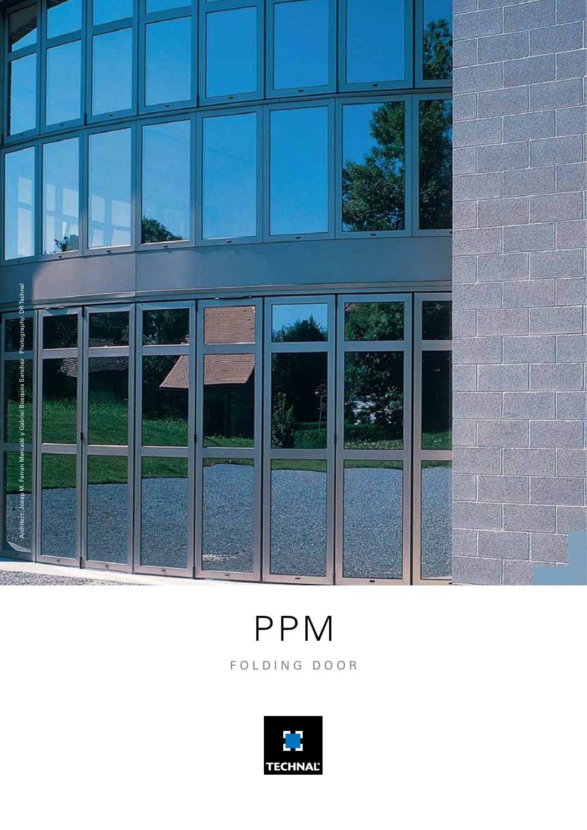

F O L D I N G D O O R PPM

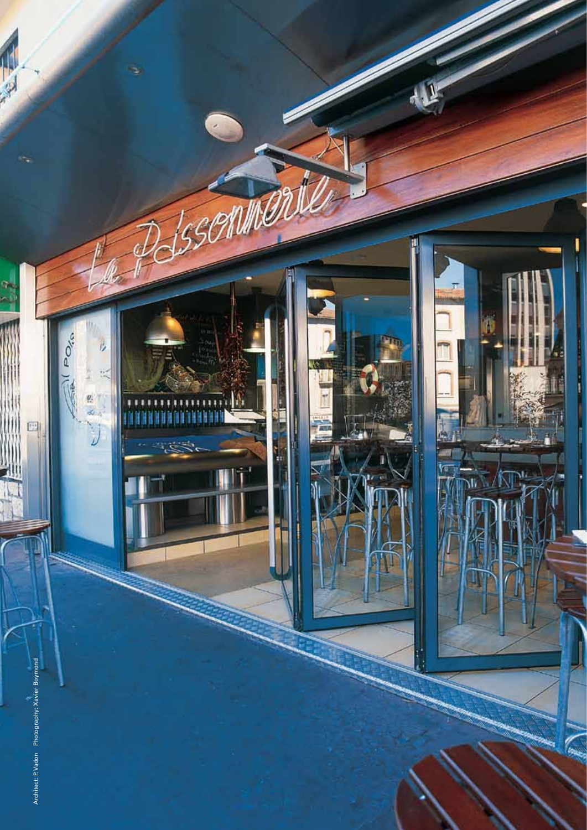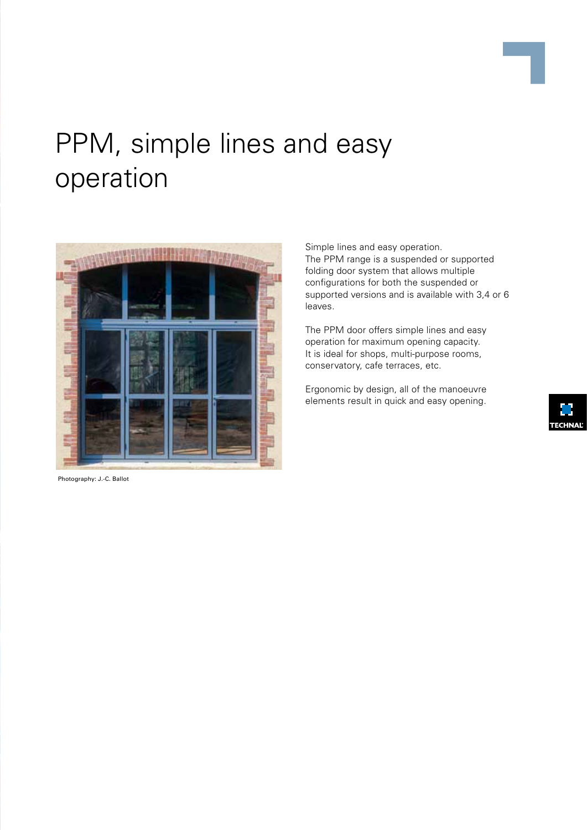

## PPM, simple lines and easy operation



Photography: J.-C. Ballot

Simple lines and easy operation. The PPM range is a suspended or supported folding door system that allows multiple configurations for both the suspended or supported versions and is available with 3,4 or 6 leaves.

The PPM door offers simple lines and easy operation for maximum opening capacity. It is ideal for shops, multi-purpose rooms, conservatory, cafe terraces, etc.

Ergonomic by design, all of the manoeuvre elements result in quick and easy opening.

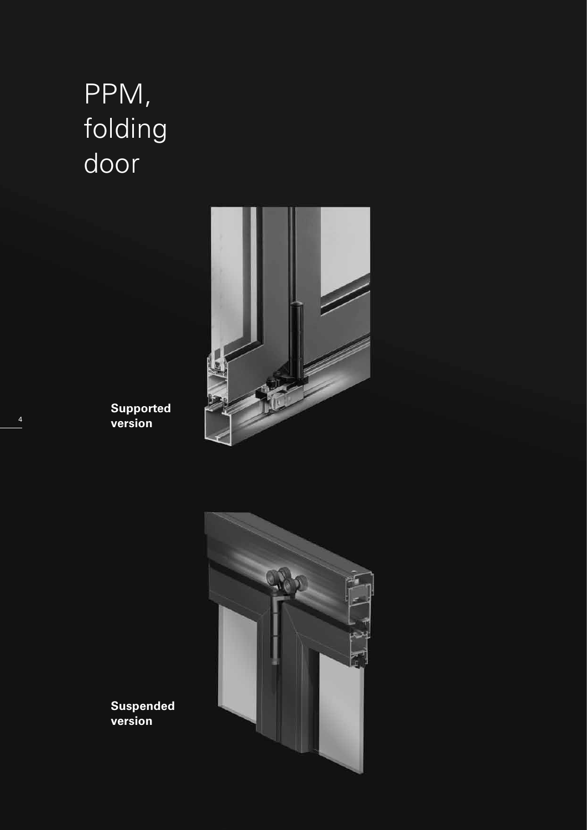# PPM, folding door



**Supported version**



**Suspended version**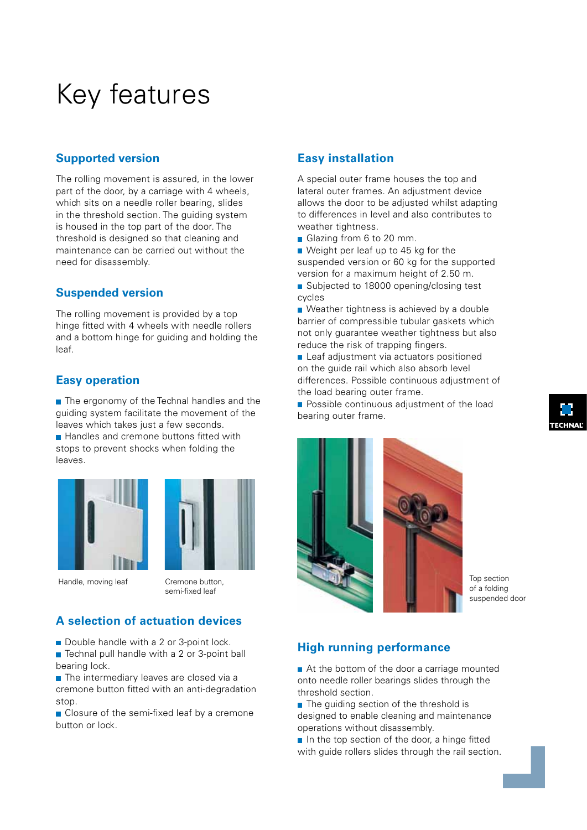## Key features

#### **Supported version**

The rolling movement is assured, in the lower part of the door, by a carriage with 4 wheels, which sits on a needle roller bearing, slides in the threshold section. The guiding system is housed in the top part of the door. The threshold is designed so that cleaning and maintenance can be carried out without the need for disassembly.

#### **Suspended version**

The rolling movement is provided by a top hinge fitted with 4 wheels with needle rollers and a bottom hinge for guiding and holding the leaf.

#### **Easy operation**

 $\blacksquare$  The ergonomy of the Technal handles and the guiding system facilitate the movement of the leaves which takes just a few seconds.

Handles and cremone buttons fitted with stops to prevent shocks when folding the leaves.





Handle, moving leaf Cremone button,

semi-fixed leaf

### **A selection of actuation devices**

- Double handle with a 2 or 3-point lock.
- Technal pull handle with a 2 or 3-point ball bearing lock.
- The intermediary leaves are closed via a cremone button fitted with an anti-degradation stop.
- Closure of the semi-fixed leaf by a cremone button or lock.

#### **Easy installation**

A special outer frame houses the top and lateral outer frames. An adjustment device allows the door to be adjusted whilst adapting to differences in level and also contributes to weather tightness.

Glazing from 6 to 20 mm.

Weight per leaf up to 45 kg for the suspended version or 60 kg for the supported version for a maximum height of 2.50 m.

Subjected to 18000 opening/closing test cycles

■ Weather tightness is achieved by a double barrier of compressible tubular gaskets which not only guarantee weather tightness but also reduce the risk of trapping fingers.

Leaf adjustment via actuators positioned on the guide rail which also absorb level differences. Possible continuous adjustment of the load bearing outer frame.

**Possible continuous adjustment of the load** bearing outer frame.



Top section of a folding suspended door

#### **High running performance**

At the bottom of the door a carriage mounted onto needle roller bearings slides through the threshold section.

- $\blacksquare$  The guiding section of the threshold is designed to enable cleaning and maintenance operations without disassembly.
- $\blacksquare$  In the top section of the door, a hinge fitted with guide rollers slides through the rail section.

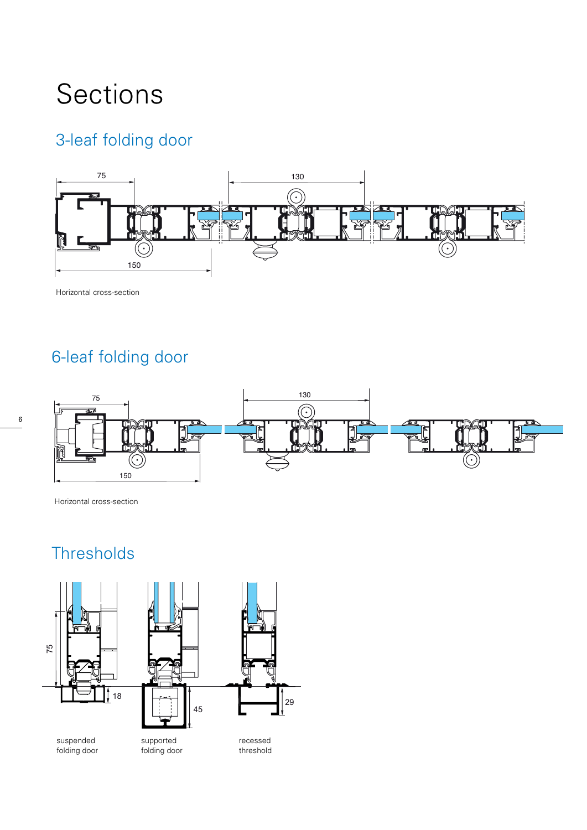## Sections

### 3-leaf folding door



Horizontal cross-section

### 6-leaf folding door



Horizontal cross-section

### **Thresholds**



folding door



supported folding door suspended supported recessed



recessed threshold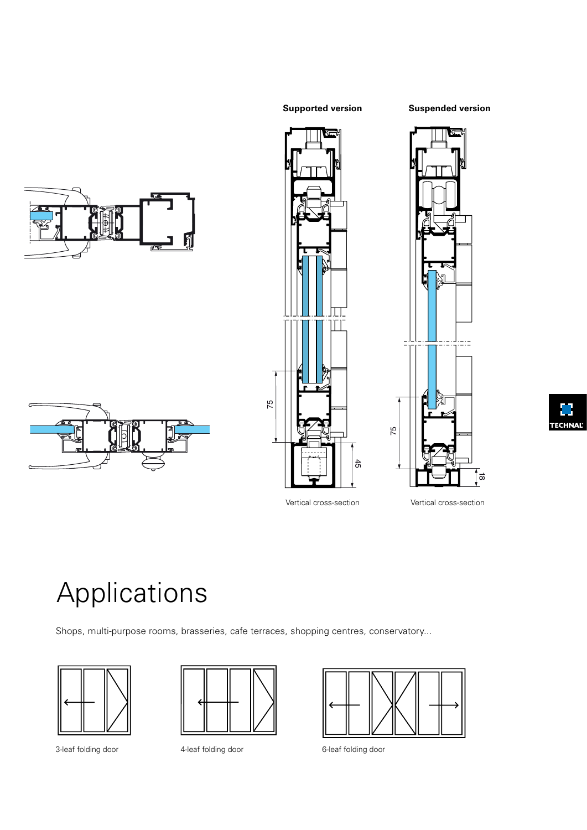#### **Supported version Suspended version**









## Applications

Shops, multi-purpose rooms, brasseries, cafe terraces, shopping centres, conservatory...